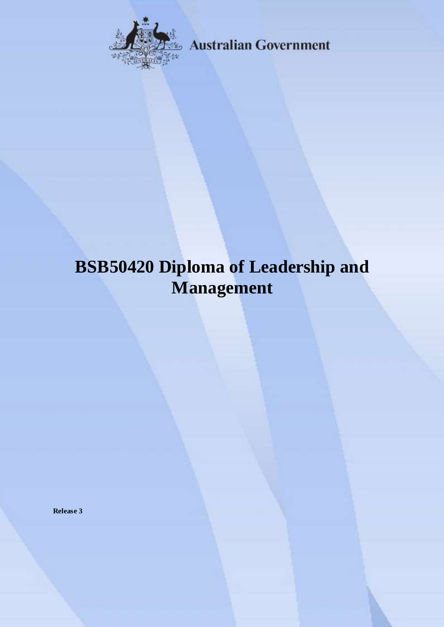

**Australian Government** 

# **BSB50420 Diploma of Leadership and Management**

**Release 3**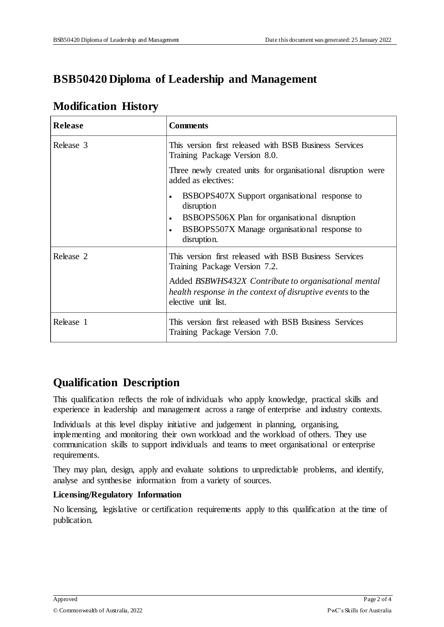# **BSB50420 Diploma of Leadership and Management**

### **Modification History**

| <b>Release</b> | <b>Comments</b>                                                                                                                                                                                       |
|----------------|-------------------------------------------------------------------------------------------------------------------------------------------------------------------------------------------------------|
| Release 3      | This version first released with BSB Business Services<br>Training Package Version 8.0.                                                                                                               |
|                | Three newly created units for organisational disruption were<br>added as electives:                                                                                                                   |
|                | BSBOPS407X Support organisational response to<br>$\bullet$<br>disruption<br>BSBOPS506X Plan for organisational disruption<br>$\bullet$<br>BSBOPS507X Manage organisational response to<br>disruption. |
| Release 2      | This version first released with BSB Business Services<br>Training Package Version 7.2.                                                                                                               |
|                | Added BSBWHS432X Contribute to organisational mental<br>health response in the context of disruptive events to the<br>elective unit list.                                                             |
| Release 1      | This version first released with BSB Business Services<br>Training Package Version 7.0.                                                                                                               |

# **Qualification Description**

This qualification reflects the role of individuals who apply knowledge, practical skills and experience in leadership and management across a range of enterprise and industry contexts.

Individuals at this level display initiative and judgement in planning, organising, implementing and monitoring their own workload and the workload of others. They use communication skills to support individuals and teams to meet organisational or enterprise requirements.

They may plan, design, apply and evaluate solutions to unpredictable problems, and identify, analyse and synthesise information from a variety of sources.

#### **Licensing/Regulatory Information**

No licensing, legislative or certification requirements apply to this qualification at the time of publication.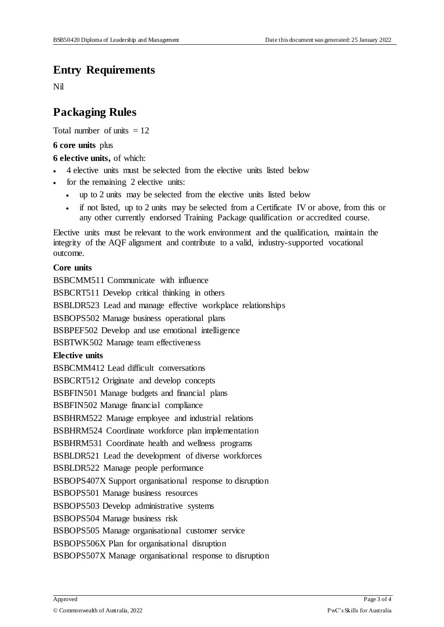#### **Entry Requirements**

Nil

## **Packaging Rules**

Total number of units  $= 12$ 

#### **6 core units** plus

**6 elective units,** of which:

- 4 elective units must be selected from the elective units listed below
- for the remaining 2 elective units:
	- up to 2 units may be selected from the elective units listed below
	- if not listed, up to 2 units may be selected from a Certificate IV or above, from this or any other currently endorsed Training Package qualification or accredited course.

Elective units must be relevant to the work environment and the qualification, maintain the integrity of the AQF alignment and contribute to a valid, industry-supported vocational outcome.

#### **Core units**

BSBCMM511 Communicate with influence BSBCRT511 Develop critical thinking in others BSBLDR523 Lead and manage effective workplace relationships BSBOPS502 Manage business operational plans BSBPEF502 Develop and use emotional intelligence BSBTWK502 Manage team effectiveness **Elective units** BSBCMM412 Lead difficult conversations BSBCRT512 Originate and develop concepts BSBFIN501 Manage budgets and financial plans BSBFIN502 Manage financial compliance BSBHRM522 Manage employee and industrial relations BSBHRM524 Coordinate workforce plan implementation BSBHRM531 Coordinate health and wellness programs BSBLDR521 Lead the development of diverse workforces BSBLDR522 Manage people performance BSBOPS407X Support organisational response to disruption BSBOPS501 Manage business resources BSBOPS503 Develop administrative systems BSBOPS504 Manage business risk BSBOPS505 Manage organisational customer service BSBOPS506X Plan for organisational disruption BSBOPS507X Manage organisational response to disruption